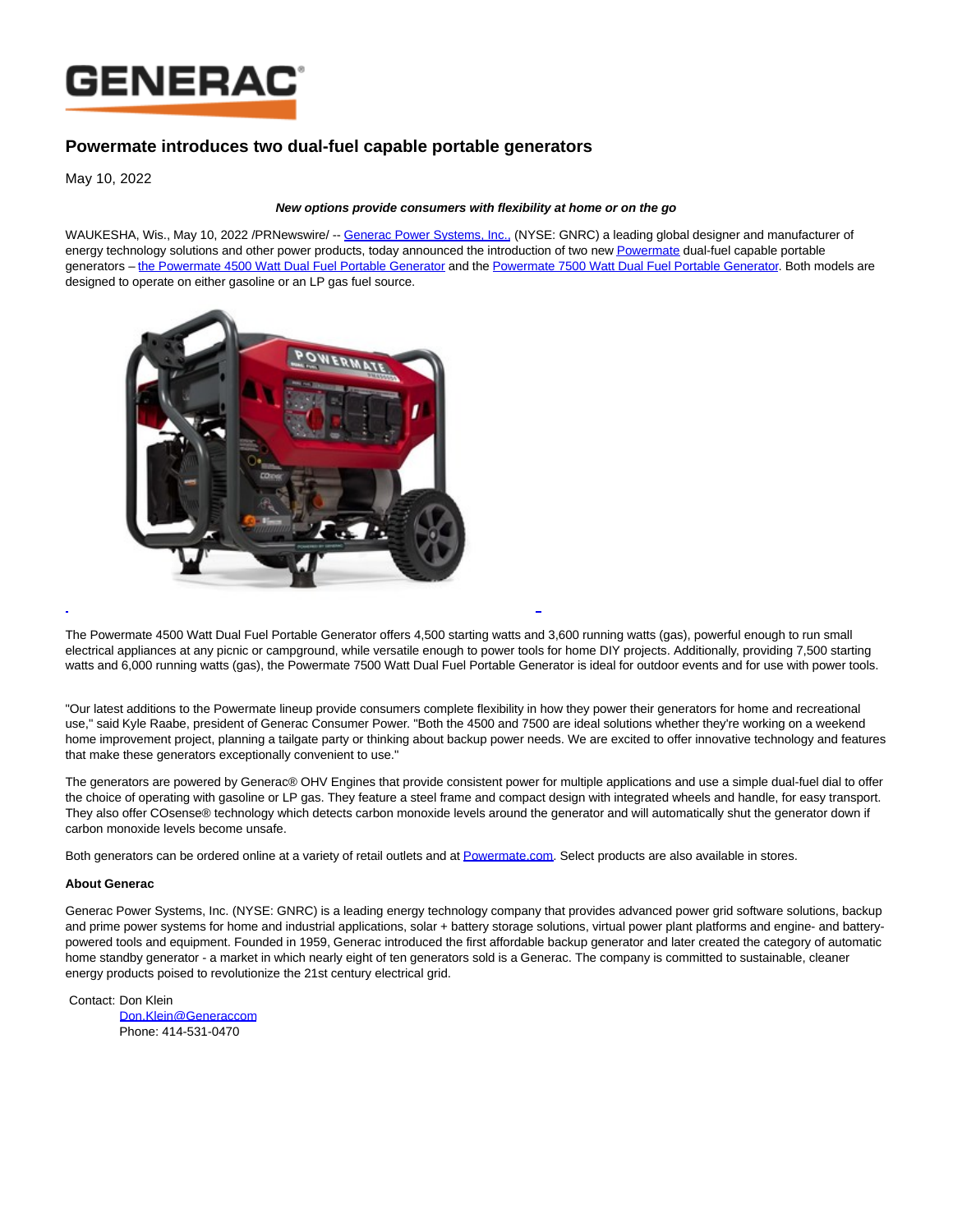

## **Powermate introduces two dual-fuel capable portable generators**

May 10, 2022

## **New options provide consumers with flexibility at home or on the go**

WAUKESHA, Wis., May 10, 2022 /PRNewswire/ -[- Generac Power Systems, Inc., \(](https://c212.net/c/link/?t=0&l=en&o=3530789-1&h=1953037769&u=https%3A%2F%2Fwww.generac.com%2F%3F%26utm_source%3Dwire%26utm_medium%3Dpress-release%26utm_campaign%3Dapril-powermate-launch%26utm_content%3Ddual-fuel-portable-generator&a=Generac+Power+Systems%2C+Inc.%2C)NYSE: GNRC) a leading global designer and manufacturer of energy technology solutions and other power products, today announced the introduction of two ne[w Powermate d](https://c212.net/c/link/?t=0&l=en&o=3530789-1&h=581823906&u=https%3A%2F%2Fwww.powermate.com%2F%3F%26utm_source%3Dwire%26utm_medium%3Dpress-release%26utm_campaign%3Dapril-powermate-launch%26utm_content%3Ddual-fuel-portable-generator&a=Powermate)ual-fuel capable portable generators - the Powermate 4500 Watt Dual Fuel Portable Generator and the [Powermate 7500 Watt Dual Fuel Portable Generator.](https://c212.net/c/link/?t=0&l=en&o=3530789-1&h=1359344681&u=https%3A%2F%2Fwww.powermate.com%2FGenerators%2FPowermate-7500-Watt-Dual-Fuel-Portable-Generator%2Fp%2FP0081800%3F%26utm_source%3Dwire%26utm_medium%3Dpress-release%26utm_campaign%3Dapril-powermate-launch%26utm_content%3Ddual-fuel-portable-generator&a=Powermate+7500+Watt+Dual+Fuel+Portable+Generator) Both models are designed to operate on either gasoline or an LP gas fuel source.



The Powermate 4500 Watt Dual Fuel Portable Generator offers 4,500 starting watts and 3,600 running watts (gas), powerful enough to run small electrical appliances at any picnic or campground, while versatile enough to power tools for home DIY projects. Additionally, providing 7,500 starting watts and 6,000 running watts (gas), the Powermate 7500 Watt Dual Fuel Portable Generator is ideal for outdoor events and for use with power tools.

L

"Our latest additions to the Powermate lineup provide consumers complete flexibility in how they power their generators for home and recreational use," said Kyle Raabe, president of Generac Consumer Power. "Both the 4500 and 7500 are ideal solutions whether they're working on a weekend home improvement project, planning a tailgate party or thinking about backup power needs. We are excited to offer innovative technology and features that make these generators exceptionally convenient to use."

The generators are powered by Generac® OHV Engines that provide consistent power for multiple applications and use a simple dual-fuel dial to offer the choice of operating with gasoline or LP gas. They feature a steel frame and compact design with integrated wheels and handle, for easy transport. They also offer COsense® technology which detects carbon monoxide levels around the generator and will automatically shut the generator down if carbon monoxide levels become unsafe.

Both generators can be ordered online at a variety of retail outlets and at [Powermate.com.](http://powermate.com/) Select products are also available in stores.

## **About Generac**

Generac Power Systems, Inc. (NYSE: GNRC) is a leading energy technology company that provides advanced power grid software solutions, backup and prime power systems for home and industrial applications, solar + battery storage solutions, virtual power plant platforms and engine- and batterypowered tools and equipment. Founded in 1959, Generac introduced the first affordable backup generator and later created the category of automatic home standby generator - a market in which nearly eight of ten generators sold is a Generac. The company is committed to sustainable, cleaner energy products poised to revolutionize the 21st century electrical grid.

Contact: Don Klein [Don.Klein@Generaccom](mailto:Don.Klein@Generac.com) Phone: 414-531-0470